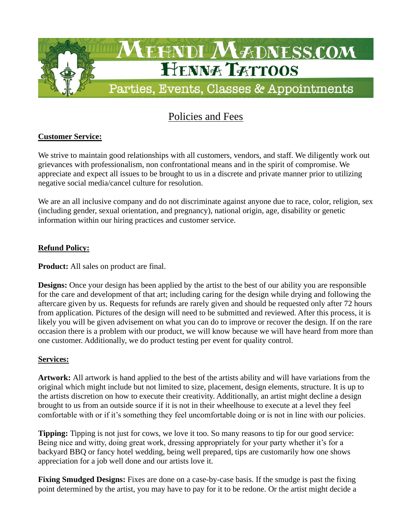

# Policies and Fees

# **Customer Service:**

We strive to maintain good relationships with all customers, vendors, and staff. We diligently work out grievances with professionalism, non confrontational means and in the spirit of compromise. We appreciate and expect all issues to be brought to us in a discrete and private manner prior to utilizing negative social media/cancel culture for resolution.

We are an all inclusive company and do not discriminate against anyone due to race, color, religion, sex (including gender, sexual orientation, and pregnancy), national origin, age, disability or genetic information within our hiring practices and customer service.

## **Refund Policy:**

**Product:** All sales on product are final.

**Designs:** Once your design has been applied by the artist to the best of our ability you are responsible for the care and development of that art; including caring for the design while drying and following the aftercare given by us. Requests for refunds are rarely given and should be requested only after 72 hours from application. Pictures of the design will need to be submitted and reviewed. After this process, it is likely you will be given advisement on what you can do to improve or recover the design. If on the rare occasion there is a problem with our product, we will know because we will have heard from more than one customer. Additionally, we do product testing per event for quality control.

### **Services:**

**Artwork:** All artwork is hand applied to the best of the artists ability and will have variations from the original which might include but not limited to size, placement, design elements, structure. It is up to the artists discretion on how to execute their creativity. Additionally, an artist might decline a design brought to us from an outside source if it is not in their wheelhouse to execute at a level they feel comfortable with or if it's something they feel uncomfortable doing or is not in line with our policies.

**Tipping:** Tipping is not just for cows, we love it too. So many reasons to tip for our good service: Being nice and witty, doing great work, dressing appropriately for your party whether it's for a backyard BBQ or fancy hotel wedding, being well prepared, tips are customarily how one shows appreciation for a job well done and our artists love it.

**Fixing Smudged Designs:** Fixes are done on a case-by-case basis. If the smudge is past the fixing point determined by the artist, you may have to pay for it to be redone. Or the artist might decide a